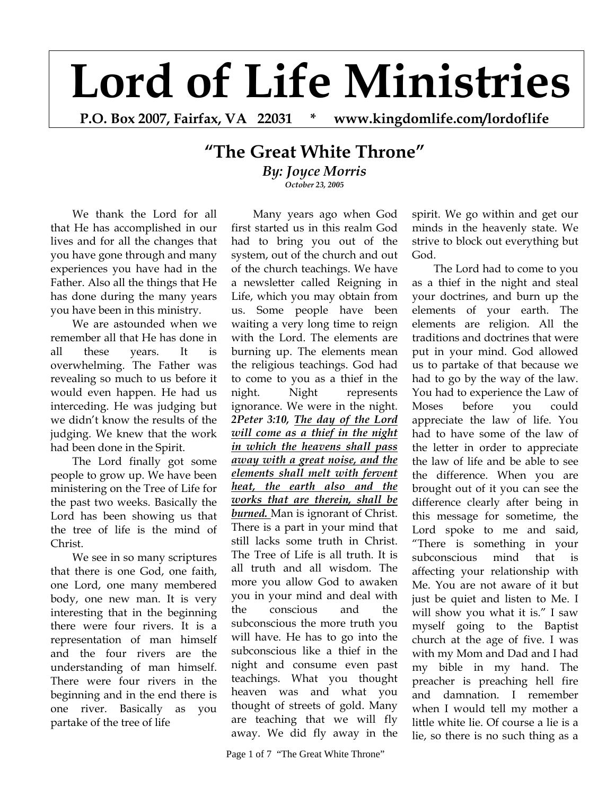## **Lord of Life Ministries**

**P.O. Box 2007, Fairfax, VA 22031 \* www.kingdomlife.com/lordoflife** 

## **"The Great White Throne"** *By: Joyce Morris October 23, 2005*

We thank the Lord for all that He has accomplished in our lives and for all the changes that you have gone through and many experiences you have had in the Father. Also all the things that He has done during the many years you have been in this ministry.

We are astounded when we remember all that He has done in all these years. It is overwhelming. The Father was revealing so much to us before it would even happen. He had us interceding. He was judging but we didn't know the results of the judging. We knew that the work had been done in the Spirit.

The Lord finally got some people to grow up. We have been ministering on the Tree of Life for the past two weeks. Basically the Lord has been showing us that the tree of life is the mind of Christ.

We see in so many scriptures that there is one God, one faith, one Lord, one many membered body, one new man. It is very interesting that in the beginning there were four rivers. It is a representation of man himself and the four rivers are the understanding of man himself. There were four rivers in the beginning and in the end there is one river. Basically as you partake of the tree of life

Many years ago when God first started us in this realm God had to bring you out of the system, out of the church and out of the church teachings. We have a newsletter called Reigning in Life, which you may obtain from us. Some people have been waiting a very long time to reign with the Lord. The elements are burning up. The elements mean the religious teachings. God had to come to you as a thief in the night. Night represents ignorance. We were in the night. *2Peter 3:10, The day of the Lord will come as a thief in the night in which the heavens shall pass away with a great noise, and the elements shall melt with fervent heat, the earth also and the works that are therein, shall be*  **burned.** Man is ignorant of Christ. There is a part in your mind that still lacks some truth in Christ. The Tree of Life is all truth. It is all truth and all wisdom. The more you allow God to awaken you in your mind and deal with the conscious and the subconscious the more truth you will have. He has to go into the subconscious like a thief in the night and consume even past teachings. What you thought heaven was and what you thought of streets of gold. Many are teaching that we will fly away. We did fly away in the

Page 1 of 7 "The Great White Throne"

spirit. We go within and get our minds in the heavenly state. We strive to block out everything but God.

The Lord had to come to you as a thief in the night and steal your doctrines, and burn up the elements of your earth. The elements are religion. All the traditions and doctrines that were put in your mind. God allowed us to partake of that because we had to go by the way of the law. You had to experience the Law of Moses before you could appreciate the law of life. You had to have some of the law of the letter in order to appreciate the law of life and be able to see the difference. When you are brought out of it you can see the difference clearly after being in this message for sometime, the Lord spoke to me and said, "There is something in your subconscious mind that is affecting your relationship with Me. You are not aware of it but just be quiet and listen to Me. I will show you what it is." I saw myself going to the Baptist church at the age of five. I was with my Mom and Dad and I had my bible in my hand. The preacher is preaching hell fire and damnation. I remember when I would tell my mother a little white lie. Of course a lie is a lie, so there is no such thing as a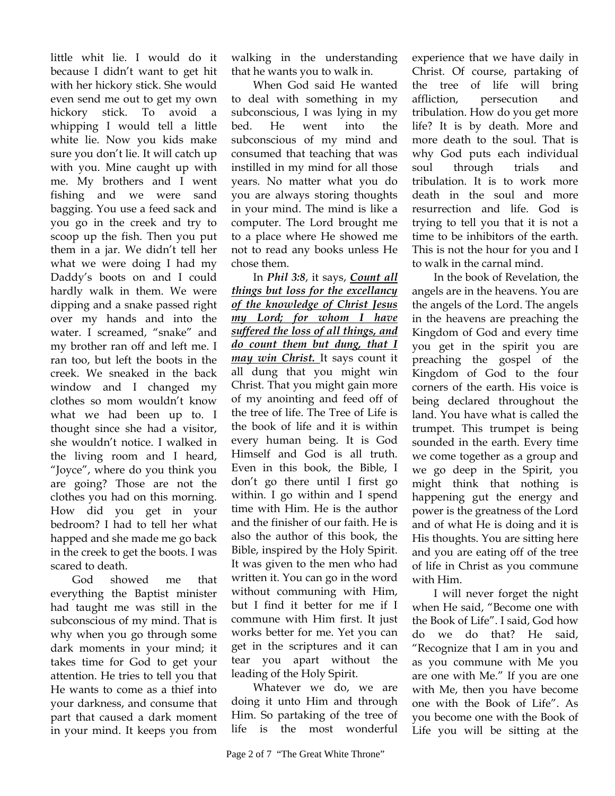little whit lie. I would do it because I didn't want to get hit with her hickory stick. She would even send me out to get my own hickory stick. To avoid a whipping I would tell a little white lie. Now you kids make sure you don't lie. It will catch up with you. Mine caught up with me. My brothers and I went fishing and we were sand bagging. You use a feed sack and you go in the creek and try to scoop up the fish. Then you put them in a jar. We didn't tell her what we were doing I had my Daddy's boots on and I could hardly walk in them. We were dipping and a snake passed right over my hands and into the water. I screamed, "snake" and my brother ran off and left me. I ran too, but left the boots in the creek. We sneaked in the back window and I changed my clothes so mom wouldn't know what we had been up to. I thought since she had a visitor, she wouldn't notice. I walked in the living room and I heard, "Joyce", where do you think you are going? Those are not the clothes you had on this morning. How did you get in your bedroom? I had to tell her what happed and she made me go back in the creek to get the boots. I was scared to death.

God showed me that everything the Baptist minister had taught me was still in the subconscious of my mind. That is why when you go through some dark moments in your mind; it takes time for God to get your attention. He tries to tell you that He wants to come as a thief into your darkness, and consume that part that caused a dark moment in your mind. It keeps you from

walking in the understanding that he wants you to walk in.

When God said He wanted to deal with something in my subconscious, I was lying in my bed. He went into the subconscious of my mind and consumed that teaching that was instilled in my mind for all those years. No matter what you do you are always storing thoughts in your mind. The mind is like a computer. The Lord brought me to a place where He showed me not to read any books unless He chose them.

In *Phil 3:8*, it says, *Count all things but loss for the excellancy of the knowledge of Christ Jesus my Lord; for whom I have suffered the loss of all things, and do count them but dung, that I may win Christ.* It says count it all dung that you might win Christ. That you might gain more of my anointing and feed off of the tree of life. The Tree of Life is the book of life and it is within every human being. It is God Himself and God is all truth. Even in this book, the Bible, I don't go there until I first go within. I go within and I spend time with Him. He is the author and the finisher of our faith. He is also the author of this book, the Bible, inspired by the Holy Spirit. It was given to the men who had written it. You can go in the word without communing with Him, but I find it better for me if I commune with Him first. It just works better for me. Yet you can get in the scriptures and it can tear you apart without the leading of the Holy Spirit.

Whatever we do, we are doing it unto Him and through Him. So partaking of the tree of life is the most wonderful experience that we have daily in Christ. Of course, partaking of the tree of life will bring affliction, persecution and tribulation. How do you get more life? It is by death. More and more death to the soul. That is why God puts each individual soul through trials and tribulation. It is to work more death in the soul and more resurrection and life. God is trying to tell you that it is not a time to be inhibitors of the earth. This is not the hour for you and I to walk in the carnal mind.

In the book of Revelation, the angels are in the heavens. You are the angels of the Lord. The angels in the heavens are preaching the Kingdom of God and every time you get in the spirit you are preaching the gospel of the Kingdom of God to the four corners of the earth. His voice is being declared throughout the land. You have what is called the trumpet. This trumpet is being sounded in the earth. Every time we come together as a group and we go deep in the Spirit, you might think that nothing is happening gut the energy and power is the greatness of the Lord and of what He is doing and it is His thoughts. You are sitting here and you are eating off of the tree of life in Christ as you commune with Him.

I will never forget the night when He said, "Become one with the Book of Life". I said, God how do we do that? He said, "Recognize that I am in you and as you commune with Me you are one with Me." If you are one with Me, then you have become one with the Book of Life". As you become one with the Book of Life you will be sitting at the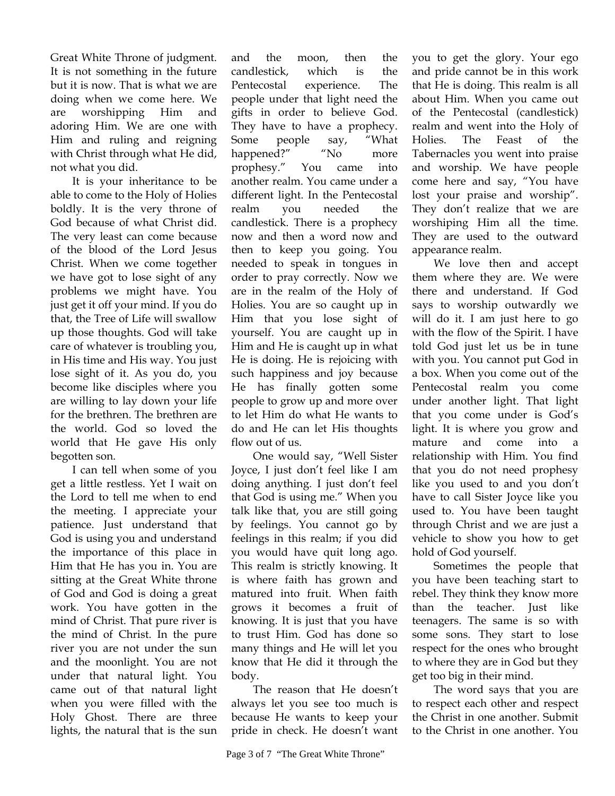Great White Throne of judgment. It is not something in the future but it is now. That is what we are doing when we come here. We are worshipping Him and adoring Him. We are one with Him and ruling and reigning with Christ through what He did, not what you did.

It is your inheritance to be able to come to the Holy of Holies boldly. It is the very throne of God because of what Christ did. The very least can come because of the blood of the Lord Jesus Christ. When we come together we have got to lose sight of any problems we might have. You just get it off your mind. If you do that, the Tree of Life will swallow up those thoughts. God will take care of whatever is troubling you, in His time and His way. You just lose sight of it. As you do, you become like disciples where you are willing to lay down your life for the brethren. The brethren are the world. God so loved the world that He gave His only begotten son.

I can tell when some of you get a little restless. Yet I wait on the Lord to tell me when to end the meeting. I appreciate your patience. Just understand that God is using you and understand the importance of this place in Him that He has you in. You are sitting at the Great White throne of God and God is doing a great work. You have gotten in the mind of Christ. That pure river is the mind of Christ. In the pure river you are not under the sun and the moonlight. You are not under that natural light. You came out of that natural light when you were filled with the Holy Ghost. There are three lights, the natural that is the sun

and the moon, then the candlestick, which is the Pentecostal experience. The people under that light need the gifts in order to believe God. They have to have a prophecy. Some people say, "What happened?" "No more prophesy." You came into another realm. You came under a different light. In the Pentecostal realm you needed the candlestick. There is a prophecy now and then a word now and then to keep you going. You needed to speak in tongues in order to pray correctly. Now we are in the realm of the Holy of Holies. You are so caught up in Him that you lose sight of yourself. You are caught up in Him and He is caught up in what He is doing. He is rejoicing with such happiness and joy because He has finally gotten some people to grow up and more over to let Him do what He wants to do and He can let His thoughts flow out of us.

One would say, "Well Sister Joyce, I just don't feel like I am doing anything. I just don't feel that God is using me." When you talk like that, you are still going by feelings. You cannot go by feelings in this realm; if you did you would have quit long ago. This realm is strictly knowing. It is where faith has grown and matured into fruit. When faith grows it becomes a fruit of knowing. It is just that you have to trust Him. God has done so many things and He will let you know that He did it through the body.

The reason that He doesn't always let you see too much is because He wants to keep your pride in check. He doesn't want you to get the glory. Your ego and pride cannot be in this work that He is doing. This realm is all about Him. When you came out of the Pentecostal (candlestick) realm and went into the Holy of Holies. The Feast of the Tabernacles you went into praise and worship. We have people come here and say, "You have lost your praise and worship". They don't realize that we are worshiping Him all the time. They are used to the outward appearance realm.

We love then and accept them where they are. We were there and understand. If God says to worship outwardly we will do it. I am just here to go with the flow of the Spirit. I have told God just let us be in tune with you. You cannot put God in a box. When you come out of the Pentecostal realm you come under another light. That light that you come under is God's light. It is where you grow and mature and come into relationship with Him. You find that you do not need prophesy like you used to and you don't have to call Sister Joyce like you used to. You have been taught through Christ and we are just a vehicle to show you how to get hold of God yourself.

Sometimes the people that you have been teaching start to rebel. They think they know more than the teacher. Just like teenagers. The same is so with some sons. They start to lose respect for the ones who brought to where they are in God but they get too big in their mind.

The word says that you are to respect each other and respect the Christ in one another. Submit to the Christ in one another. You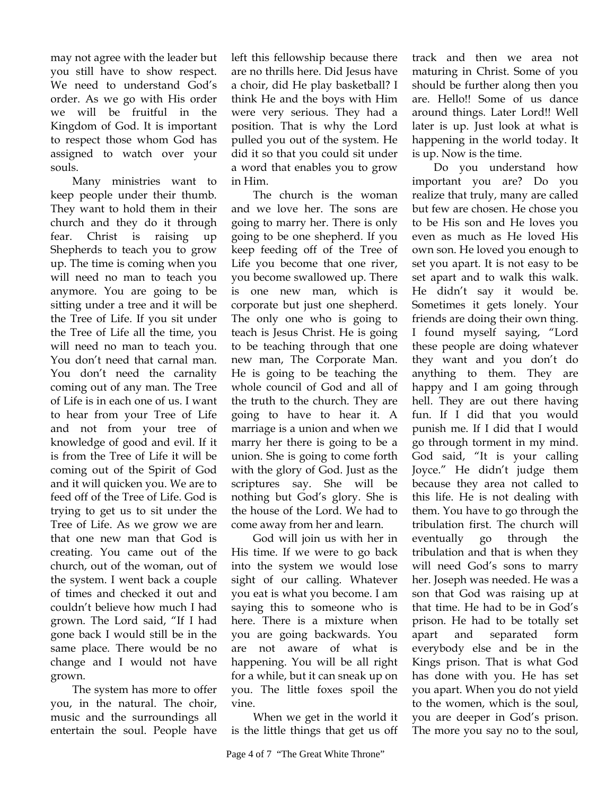may not agree with the leader but you still have to show respect. We need to understand God's order. As we go with His order we will be fruitful in the Kingdom of God. It is important to respect those whom God has assigned to watch over your souls.

Many ministries want to keep people under their thumb. They want to hold them in their church and they do it through fear. Christ is raising up Shepherds to teach you to grow up. The time is coming when you will need no man to teach you anymore. You are going to be sitting under a tree and it will be the Tree of Life. If you sit under the Tree of Life all the time, you will need no man to teach you. You don't need that carnal man. You don't need the carnality coming out of any man. The Tree of Life is in each one of us. I want to hear from your Tree of Life and not from your tree of knowledge of good and evil. If it is from the Tree of Life it will be coming out of the Spirit of God and it will quicken you. We are to feed off of the Tree of Life. God is trying to get us to sit under the Tree of Life. As we grow we are that one new man that God is creating. You came out of the church, out of the woman, out of the system. I went back a couple of times and checked it out and couldn't believe how much I had grown. The Lord said, "If I had gone back I would still be in the same place. There would be no change and I would not have grown.

The system has more to offer you, in the natural. The choir, music and the surroundings all entertain the soul. People have left this fellowship because there are no thrills here. Did Jesus have a choir, did He play basketball? I think He and the boys with Him were very serious. They had a position. That is why the Lord pulled you out of the system. He did it so that you could sit under a word that enables you to grow in Him.

The church is the woman and we love her. The sons are going to marry her. There is only going to be one shepherd. If you keep feeding off of the Tree of Life you become that one river, you become swallowed up. There is one new man, which is corporate but just one shepherd. The only one who is going to teach is Jesus Christ. He is going to be teaching through that one new man, The Corporate Man. He is going to be teaching the whole council of God and all of the truth to the church. They are going to have to hear it. A marriage is a union and when we marry her there is going to be a union. She is going to come forth with the glory of God. Just as the scriptures say. She will be nothing but God's glory. She is the house of the Lord. We had to come away from her and learn.

God will join us with her in His time. If we were to go back into the system we would lose sight of our calling. Whatever you eat is what you become. I am saying this to someone who is here. There is a mixture when you are going backwards. You are not aware of what is happening. You will be all right for a while, but it can sneak up on you. The little foxes spoil the vine.

When we get in the world it is the little things that get us off track and then we area not maturing in Christ. Some of you should be further along then you are. Hello!! Some of us dance around things. Later Lord!! Well later is up. Just look at what is happening in the world today. It is up. Now is the time.

Do you understand how important you are? Do you realize that truly, many are called but few are chosen. He chose you to be His son and He loves you even as much as He loved His own son. He loved you enough to set you apart. It is not easy to be set apart and to walk this walk. He didn't say it would be. Sometimes it gets lonely. Your friends are doing their own thing. I found myself saying, "Lord these people are doing whatever they want and you don't do anything to them. They are happy and I am going through hell. They are out there having fun. If I did that you would punish me. If I did that I would go through torment in my mind. God said, "It is your calling Joyce." He didn't judge them because they area not called to this life. He is not dealing with them. You have to go through the tribulation first. The church will eventually go through the tribulation and that is when they will need God's sons to marry her. Joseph was needed. He was a son that God was raising up at that time. He had to be in God's prison. He had to be totally set apart and separated form everybody else and be in the Kings prison. That is what God has done with you. He has set you apart. When you do not yield to the women, which is the soul, you are deeper in God's prison. The more you say no to the soul,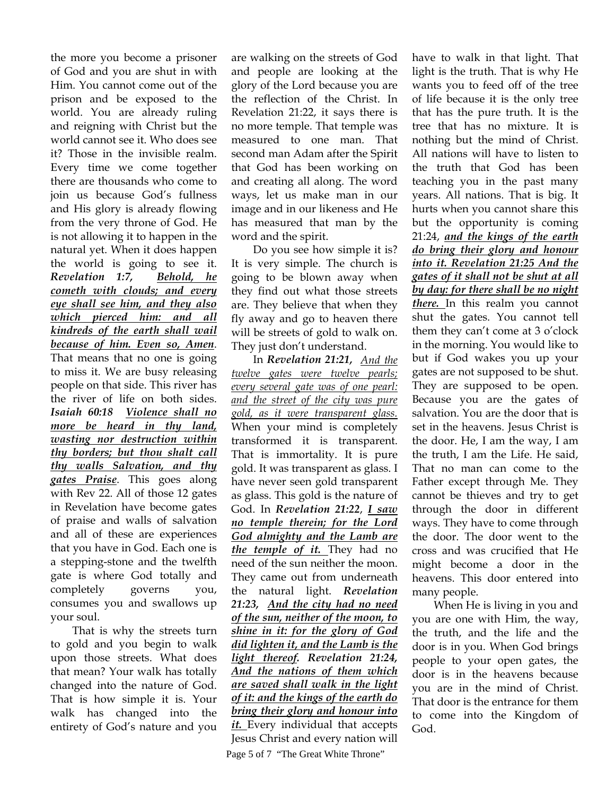the more you become a prisoner of God and you are shut in with Him. You cannot come out of the prison and be exposed to the world. You are already ruling and reigning with Christ but the world cannot see it. Who does see it? Those in the invisible realm. Every time we come together there are thousands who come to join us because God's fullness and His glory is already flowing from the very throne of God. He is not allowing it to happen in the natural yet. When it does happen the world is going to see it. *Revelation 1:7, Behold, he cometh with clouds; and every eye shall see him, and they also which pierced him: and all kindreds of the earth shall wail because of him. Even so, Amen*. That means that no one is going to miss it. We are busy releasing people on that side. This river has the river of life on both sides. *Isaiah 60:18 Violence shall no more be heard in thy land, wasting nor destruction within thy borders; but thou shalt call thy walls Salvation, and thy gates Praise*. This goes along with Rev 22. All of those 12 gates in Revelation have become gates of praise and walls of salvation and all of these are experiences that you have in God. Each one is a stepping-stone and the twelfth gate is where God totally and completely governs you, consumes you and swallows up your soul.

That is why the streets turn to gold and you begin to walk upon those streets. What does that mean? Your walk has totally changed into the nature of God. That is how simple it is. Your walk has changed into the entirety of God's nature and you

are walking on the streets of God and people are looking at the glory of the Lord because you are the reflection of the Christ. In Revelation 21:22, it says there is no more temple. That temple was measured to one man. That second man Adam after the Spirit that God has been working on and creating all along. The word ways, let us make man in our image and in our likeness and He has measured that man by the word and the spirit.

Do you see how simple it is? It is very simple. The church is going to be blown away when they find out what those streets are. They believe that when they fly away and go to heaven there will be streets of gold to walk on. They just don't understand.

In *Revelation 21:21, And the twelve gates were twelve pearls; every several gate was of one pearl: and the street of the city was pure gold, as it were transparent glass.* When your mind is completely transformed it is transparent. That is immortality. It is pure gold. It was transparent as glass. I have never seen gold transparent as glass. This gold is the nature of God. In *Revelation 21:22*, *I saw no temple therein; for the Lord God almighty and the Lamb are the temple of it.* They had no need of the sun neither the moon. They came out from underneath the natural light. *Revelation 21:23, And the city had no need of the sun, neither of the moon, to shine in it: for the glory of God did lighten it, and the Lamb is the light thereof. Revelation 21:24, And the nations of them which are saved shall walk in the light of it: and the kings of the earth do bring their glory and honour into*  it. Every individual that accepts Jesus Christ and every nation will

Page 5 of 7 "The Great White Throne"

have to walk in that light. That light is the truth. That is why He wants you to feed off of the tree of life because it is the only tree that has the pure truth. It is the tree that has no mixture. It is nothing but the mind of Christ. All nations will have to listen to the truth that God has been teaching you in the past many years. All nations. That is big. It hurts when you cannot share this but the opportunity is coming 21:24, *and the kings of the earth do bring their glory and honour into it. Revelation 21:25 And the gates of it shall not be shut at all by day: for there shall be no night there.* In this realm you cannot shut the gates. You cannot tell them they can't come at 3 o'clock in the morning. You would like to but if God wakes you up your gates are not supposed to be shut. They are supposed to be open. Because you are the gates of salvation. You are the door that is set in the heavens. Jesus Christ is the door. He, I am the way, I am the truth, I am the Life. He said, That no man can come to the Father except through Me. They cannot be thieves and try to get through the door in different ways. They have to come through the door. The door went to the cross and was crucified that He might become a door in the heavens. This door entered into many people.

When He is living in you and you are one with Him, the way, the truth, and the life and the door is in you. When God brings people to your open gates, the door is in the heavens because you are in the mind of Christ. That door is the entrance for them to come into the Kingdom of God.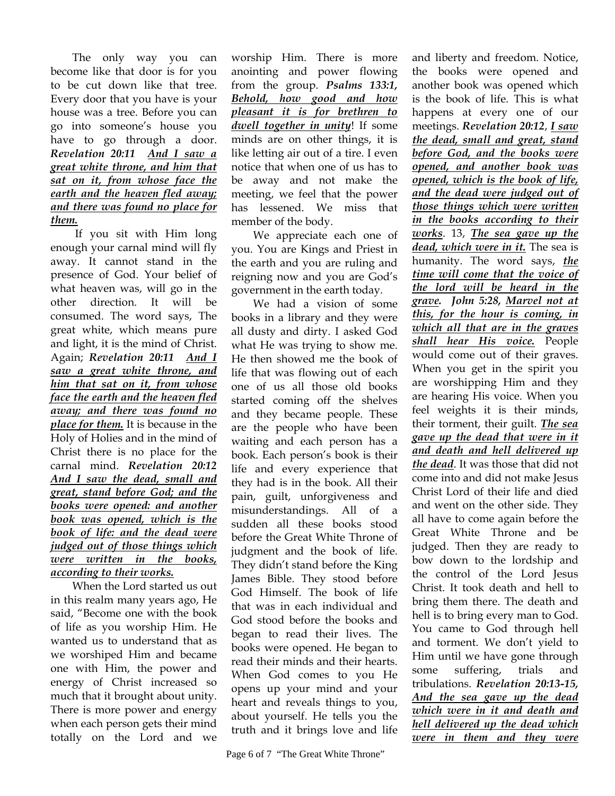The only way you can become like that door is for you to be cut down like that tree. Every door that you have is your house was a tree. Before you can go into someone's house you have to go through a door. *Revelation 20:11 And I saw a great white throne, and him that sat on it, from whose face the earth and the heaven fled away; and there was found no place for them.*

 If you sit with Him long enough your carnal mind will fly away. It cannot stand in the presence of God. Your belief of what heaven was, will go in the other direction. It will be consumed. The word says, The great white, which means pure and light, it is the mind of Christ. Again; *Revelation 20:11 And I saw a great white throne, and him that sat on it, from whose face the earth and the heaven fled away; and there was found no place for them.* It is because in the Holy of Holies and in the mind of Christ there is no place for the carnal mind. *Revelation 20:12 And I saw the dead, small and great, stand before God; and the books were opened: and another book was opened, which is the book of life: and the dead were judged out of those things which were written in the books, according to their works.*

When the Lord started us out in this realm many years ago, He said, "Become one with the book of life as you worship Him. He wanted us to understand that as we worshiped Him and became one with Him, the power and energy of Christ increased so much that it brought about unity. There is more power and energy when each person gets their mind totally on the Lord and we

worship Him. There is more anointing and power flowing from the group. *Psalms 133:1, Behold, how good and how pleasant it is for brethren to dwell together in unity*! If some minds are on other things, it is like letting air out of a tire. I even notice that when one of us has to be away and not make the meeting, we feel that the power has lessened. We miss that member of the body.

We appreciate each one of you. You are Kings and Priest in the earth and you are ruling and reigning now and you are God's government in the earth today.

We had a vision of some books in a library and they were all dusty and dirty. I asked God what He was trying to show me. He then showed me the book of life that was flowing out of each one of us all those old books started coming off the shelves and they became people. These are the people who have been waiting and each person has a book. Each person's book is their life and every experience that they had is in the book. All their pain, guilt, unforgiveness and misunderstandings. All of a sudden all these books stood before the Great White Throne of judgment and the book of life. They didn't stand before the King James Bible. They stood before God Himself. The book of life that was in each individual and God stood before the books and began to read their lives. The books were opened. He began to read their minds and their hearts. When God comes to you He opens up your mind and your heart and reveals things to you, about yourself. He tells you the truth and it brings love and life

and liberty and freedom. Notice, the books were opened and another book was opened which is the book of life. This is what happens at every one of our meetings. *Revelation 20:12*, *I saw the dead, small and great, stand before God, and the books were opened, and another book was opened, which is the book of life, and the dead were judged out of those things which were written in the books according to their works*. 13, *The sea gave up the dead, which were in it.* The sea is humanity. The word says, *the time will come that the voice of the lord will be heard in the grave. John 5:28, Marvel not at this, for the hour is coming, in which all that are in the graves shall hear His voice.* People would come out of their graves. When you get in the spirit you are worshipping Him and they are hearing His voice. When you feel weights it is their minds, their torment, their guilt. *The sea gave up the dead that were in it and death and hell delivered up the dead*. It was those that did not come into and did not make Jesus Christ Lord of their life and died and went on the other side. They all have to come again before the Great White Throne and be judged. Then they are ready to bow down to the lordship and the control of the Lord Jesus Christ. It took death and hell to bring them there. The death and hell is to bring every man to God. You came to God through hell and torment. We don't yield to Him until we have gone through some suffering, trials and tribulations. *Revelation 20:13-15, And the sea gave up the dead which were in it and death and hell delivered up the dead which were in them and they were*